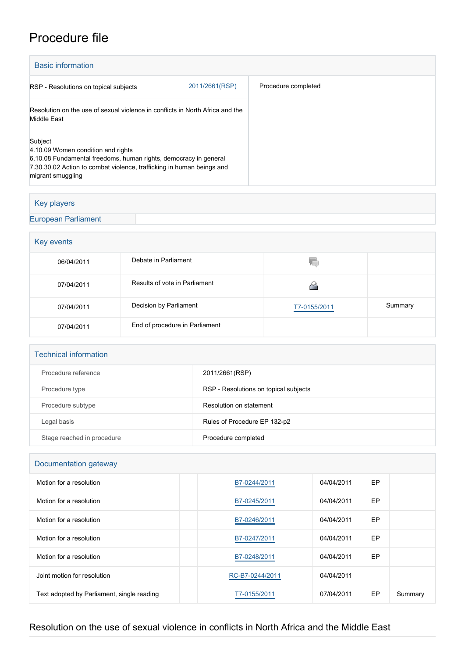# Procedure file

| <b>Basic information</b>                                                                                                                                                                                        |                |                     |  |  |  |
|-----------------------------------------------------------------------------------------------------------------------------------------------------------------------------------------------------------------|----------------|---------------------|--|--|--|
| RSP - Resolutions on topical subjects                                                                                                                                                                           | 2011/2661(RSP) | Procedure completed |  |  |  |
| Resolution on the use of sexual violence in conflicts in North Africa and the<br>Middle East                                                                                                                    |                |                     |  |  |  |
| Subject<br>4.10.09 Women condition and rights<br>6.10.08 Fundamental freedoms, human rights, democracy in general<br>7.30.30.02 Action to combat violence, trafficking in human beings and<br>migrant smuggling |                |                     |  |  |  |

### Key players

[European Parliament](http://www.europarl.europa.eu/)

## Key events 06/04/2011 Debate in Parliament Q 07/04/2011 Results of vote in Parliament ◬ 07/04/2011 Decision by Parliament [T7-0155/2011](https://www.europarl.europa.eu/doceo/document/TA-7-2011-0155_EN.html) Summary 07/04/2011 End of procedure in Parliament

#### Technical information

| Procedure reference        | 2011/2661(RSP)                        |
|----------------------------|---------------------------------------|
| Procedure type             | RSP - Resolutions on topical subjects |
| Procedure subtype          | Resolution on statement               |
| Legal basis                | Rules of Procedure EP 132-p2          |
| Stage reached in procedure | Procedure completed                   |

#### Documentation gateway

| Motion for a resolution                    | B7-0244/2011    | 04/04/2011 | <b>EP</b> |         |  |  |
|--------------------------------------------|-----------------|------------|-----------|---------|--|--|
| Motion for a resolution                    | B7-0245/2011    | 04/04/2011 | <b>EP</b> |         |  |  |
| Motion for a resolution                    | B7-0246/2011    | 04/04/2011 | EP        |         |  |  |
| Motion for a resolution                    | B7-0247/2011    | 04/04/2011 | <b>EP</b> |         |  |  |
| Motion for a resolution                    | B7-0248/2011    | 04/04/2011 | EP        |         |  |  |
| Joint motion for resolution                | RC-B7-0244/2011 | 04/04/2011 |           |         |  |  |
| Text adopted by Parliament, single reading | T7-0155/2011    | 07/04/2011 | <b>EP</b> | Summary |  |  |

## Resolution on the use of sexual violence in conflicts in North Africa and the Middle East